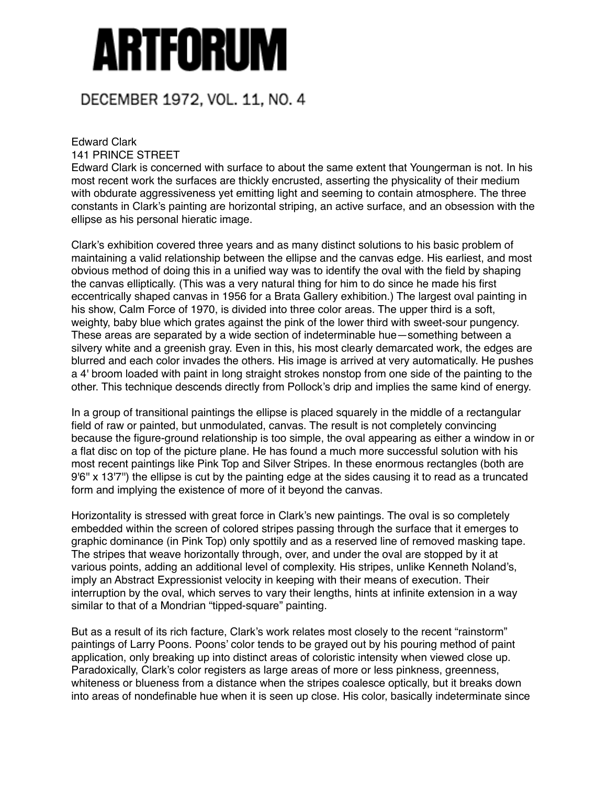## Artforum

## DECEMBER 1972, VOL. 11, NO. 4

## Edward Clark

141 PRINCE STREET

Edward Clark is concerned with surface to about the same extent that Youngerman is not. In his most recent work the surfaces are thickly encrusted, asserting the physicality of their medium with obdurate aggressiveness yet emitting light and seeming to contain atmosphere. The three constants in Clark's painting are horizontal striping, an active surface, and an obsession with the ellipse as his personal hieratic image.

Clark's exhibition covered three years and as many distinct solutions to his basic problem of maintaining a valid relationship between the ellipse and the canvas edge. His earliest, and most obvious method of doing this in a unified way was to identify the oval with the field by shaping the canvas elliptically. (This was a very natural thing for him to do since he made his first eccentrically shaped canvas in 1956 for a Brata Gallery exhibition.) The largest oval painting in his show, Calm Force of 1970, is divided into three color areas. The upper third is a soft, weighty, baby blue which grates against the pink of the lower third with sweet-sour pungency. These areas are separated by a wide section of indeterminable hue—something between a silvery white and a greenish gray. Even in this, his most clearly demarcated work, the edges are blurred and each color invades the others. His image is arrived at very automatically. He pushes a 4' broom loaded with paint in long straight strokes nonstop from one side of the painting to the other. This technique descends directly from Pollock's drip and implies the same kind of energy.

In a group of transitional paintings the ellipse is placed squarely in the middle of a rectangular field of raw or painted, but unmodulated, canvas. The result is not completely convincing because the figure-ground relationship is too simple, the oval appearing as either a window in or a flat disc on top of the picture plane. He has found a much more successful solution with his most recent paintings like Pink Top and Silver Stripes. In these enormous rectangles (both are 9'6'' x 13'7'') the ellipse is cut by the painting edge at the sides causing it to read as a truncated form and implying the existence of more of it beyond the canvas.

Horizontality is stressed with great force in Clark's new paintings. The oval is so completely embedded within the screen of colored stripes passing through the surface that it emerges to graphic dominance (in Pink Top) only spottily and as a reserved line of removed masking tape. The stripes that weave horizontally through, over, and under the oval are stopped by it at various points, adding an additional level of complexity. His stripes, unlike Kenneth Noland's, imply an Abstract Expressionist velocity in keeping with their means of execution. Their interruption by the oval, which serves to vary their lengths, hints at infinite extension in a way similar to that of a Mondrian "tipped-square" painting.

But as a result of its rich facture, Clark's work relates most closely to the recent "rainstorm" paintings of Larry Poons. Poons' color tends to be grayed out by his pouring method of paint application, only breaking up into distinct areas of coloristic intensity when viewed close up. Paradoxically, Clark's color registers as large areas of more or less pinkness, greenness, whiteness or blueness from a distance when the stripes coalesce optically, but it breaks down into areas of nondefinable hue when it is seen up close. His color, basically indeterminate since